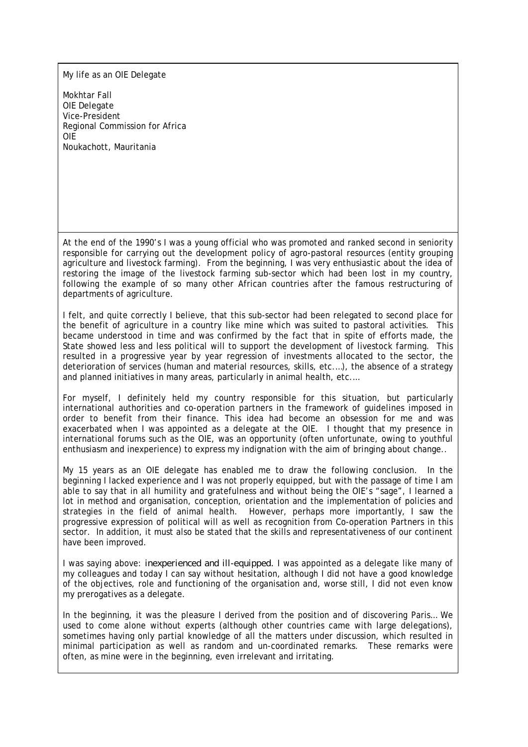My life as an OIE Delegate

Mokhtar Fall OIE Delegate Vice-President Regional Commission for Africa OIE Noukachott, Mauritania

At the end of the 1990's I was a young official who was promoted and ranked second in seniority responsible for carrying out the development policy of agro-pastoral resources (entity grouping agriculture and livestock farming). From the beginning, I was very enthusiastic about the idea of restoring the image of the livestock farming sub-sector which had been lost in my country, following the example of so many other African countries after the famous restructuring of departments of agriculture.

I felt, and quite correctly I believe, that this sub-sector had been relegated to second place for the benefit of agriculture in a country like mine which was suited to pastoral activities. This became understood in time and was confirmed by the fact that in spite of efforts made, the State showed less and less political will to support the development of livestock farming. This resulted in a progressive year by year regression of investments allocated to the sector, the deterioration of services (human and material resources, skills, etc.…), the absence of a strategy and planned initiatives in many areas, particularly in animal health, etc.…

For myself, I definitely held my country responsible for this situation, but particularly international authorities and co-operation partners in the framework of guidelines imposed in order to benefit from their finance. This idea had become an obsession for me and was exacerbated when I was appointed as a delegate at the OIE. I thought that my presence in international forums such as the OIE, was an opportunity (often unfortunate, owing to youthful enthusiasm and inexperience) to express my indignation with the aim of bringing about change..

My 15 years as an OIE delegate has enabled me to draw the following conclusion. In the beginning I lacked experience and I was not properly equipped, but with the passage of time I am able to say that in all humility and gratefulness and without being the OIE's "sage", I learned a lot in method and organisation, conception, orientation and the implementation of policies and strategies in the field of animal health. However, perhaps more importantly, I saw the progressive expression of political will as well as recognition from Co-operation Partners in this sector. In addition, it must also be stated that the skills and representativeness of our continent have been improved.

I was saying above: *inexperienced and ill-equipped.* I was appointed as a delegate like many of my colleagues and today I can say without hesitation, although I did not have a good knowledge of the objectives, role and functioning of the organisation and, worse still, I did not even know my prerogatives as a delegate.

In the beginning, it was the pleasure I derived from the position and of discovering Paris… We used to come alone without experts (although other countries came with large delegations), sometimes having only partial knowledge of all the matters under discussion, which resulted in minimal participation as well as random and un-coordinated remarks. These remarks were often, as mine were in the beginning, even irrelevant and irritating.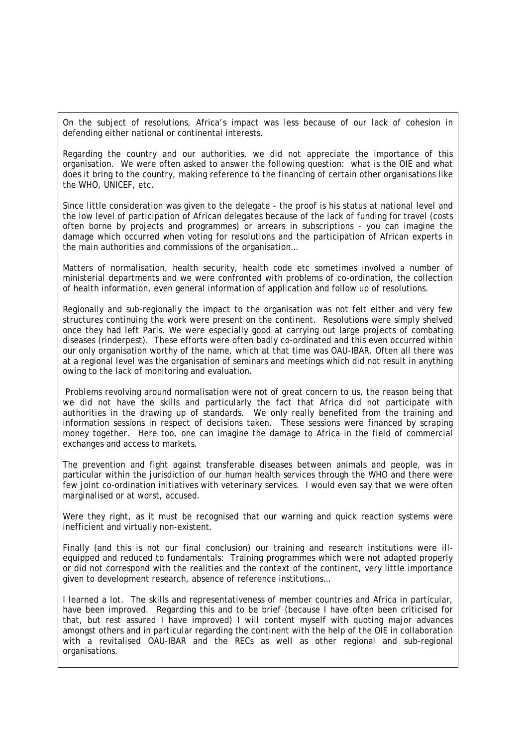On the subject of resolutions, Africa's impact was less because of our lack of cohesion in defending either national or continental interests.

Regarding the country and our authorities, we did not appreciate the importance of this organisation. We were often asked to answer the following question: what is the OIE and what does it bring to the country, making reference to the financing of certain other organisations like the WHO, UNICEF, etc.

Since little consideration was given to the delegate - the proof is his status at national level and the low level of participation of African delegates because of the lack of funding for travel (costs often borne by projects and programmes) or arrears in subscriptions - you can imagine the damage which occurred when voting for resolutions and the participation of African experts in the main authorities and commissions of the organisation…

Matters of normalisation, health security, health code etc sometimes involved a number of ministerial departments and we were confronted with problems of co-ordination, the collection of health information, even general information of application and follow up of resolutions.

Regionally and sub-regionally the impact to the organisation was not felt either and very few structures continuing the work were present on the continent. Resolutions were simply shelved once they had left Paris. We were especially good at carrying out large projects of combating diseases (rinderpest). These efforts were often badly co-ordinated and this even occurred within our only organisation worthy of the name, which at that time was OAU-IBAR. Often all there was at a regional level was the organisation of seminars and meetings which did not result in anything owing to the lack of monitoring and evaluation.

 Problems revolving around normalisation were not of great concern to us, the reason being that we did not have the skills and particularly the fact that Africa did not participate with authorities in the drawing up of standards. We only really benefited from the training and information sessions in respect of decisions taken. These sessions were financed by scraping money together. Here too, one can imagine the damage to Africa in the field of commercial exchanges and access to markets.

The prevention and fight against transferable diseases between animals and people, was in particular within the jurisdiction of our human health services through the WHO and there were few joint co-ordination initiatives with veterinary services. I would even say that we were often marginalised or at worst, accused.

Were they right, as it must be recognised that our warning and quick reaction systems were inefficient and virtually non-existent.

Finally (and this is not our final conclusion) our training and research institutions were illequipped and reduced to fundamentals: Training programmes which were not adapted properly or did not correspond with the realities and the context of the continent, very little importance given to development research, absence of reference institutions…

I learned a lot. The skills and representativeness of member countries and Africa in particular, have been improved. Regarding this and to be brief (because I have often been criticised for that, but rest assured I have improved) I will content myself with quoting major advances amongst others and in particular regarding the continent with the help of the OIE in collaboration with a revitalised OAU-IBAR and the RECs as well as other regional and sub-regional organisations.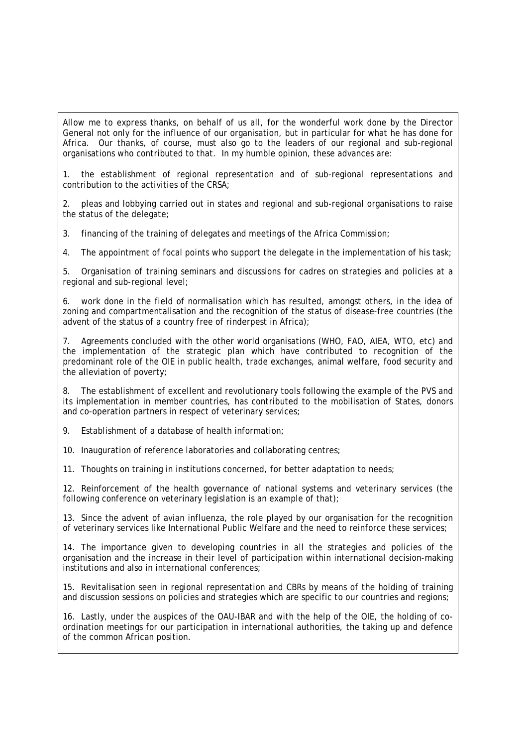Allow me to express thanks, on behalf of us all, for the wonderful work done by the Director General not only for the influence of our organisation, but in particular for what he has done for Africa. Our thanks, of course, must also go to the leaders of our regional and sub-regional organisations who contributed to that. In my humble opinion, these advances are:

1. the establishment of regional representation and of sub-regional representations and contribution to the activities of the CRSA;

2. pleas and lobbying carried out in states and regional and sub-regional organisations to raise the status of the delegate;

3. financing of the training of delegates and meetings of the Africa Commission;

4. The appointment of focal points who support the delegate in the implementation of his task;

5. Organisation of training seminars and discussions for cadres on strategies and policies at a regional and sub-regional level;

6. work done in the field of normalisation which has resulted, amongst others, in the idea of zoning and compartmentalisation and the recognition of the status of disease-free countries (the advent of the status of a country free of rinderpest in Africa);

7. Agreements concluded with the other world organisations (WHO, FAO, AIEA, WTO, etc) and the implementation of the strategic plan which have contributed to recognition of the predominant role of the OIE in public health, trade exchanges, animal welfare, food security and the alleviation of poverty;

8. The establishment of excellent and revolutionary tools following the example of the PVS and its implementation in member countries, has contributed to the mobilisation of States, donors and co-operation partners in respect of veterinary services;

9. Establishment of a database of health information;

10. Inauguration of reference laboratories and collaborating centres;

11. Thoughts on training in institutions concerned, for better adaptation to needs;

12. Reinforcement of the health governance of national systems and veterinary services (the following conference on veterinary legislation is an example of that);

13. Since the advent of avian influenza, the role played by our organisation for the recognition of veterinary services like International Public Welfare and the need to reinforce these services;

14. The importance given to developing countries in all the strategies and policies of the organisation and the increase in their level of participation within international decision-making institutions and also in international conferences;

15. Revitalisation seen in regional representation and CBRs by means of the holding of training and discussion sessions on policies and strategies which are specific to our countries and regions;

16. Lastly, under the auspices of the OAU-IBAR and with the help of the OIE, the holding of coordination meetings for our participation in international authorities, the taking up and defence of the common African position.